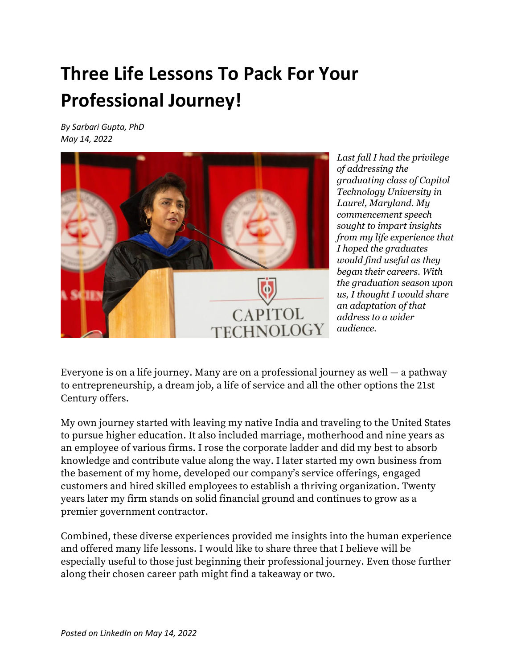# **Three Life Lessons To Pack For Your Professional Journey!**

*By Sarbari Gupta, PhD May 14, 2022*



*Last fall I had the privilege of addressing the graduating class of Capitol Technology University in Laurel, Maryland. My commencement speech sought to impart insights from my life experience that I hoped the graduates would find useful as they began their careers. With the graduation season upon us, I thought I would share an adaptation of that address to a wider audience.*

Everyone is on a life journey. Many are on a professional journey as well ― a pathway to entrepreneurship, a dream job, a life of service and all the other options the 21st Century offers.

My own journey started with leaving my native India and traveling to the United States to pursue higher education. It also included marriage, motherhood and nine years as an employee of various firms. I rose the corporate ladder and did my best to absorb knowledge and contribute value along the way. I later started my own business from the basement of my home, developed our company's service offerings, engaged customers and hired skilled employees to establish a thriving organization. Twenty years later my firm stands on solid financial ground and continues to grow as a premier government contractor.

Combined, these diverse experiences provided me insights into the human experience and offered many life lessons. I would like to share three that I believe will be especially useful to those just beginning their professional journey. Even those further along their chosen career path might find a takeaway or two.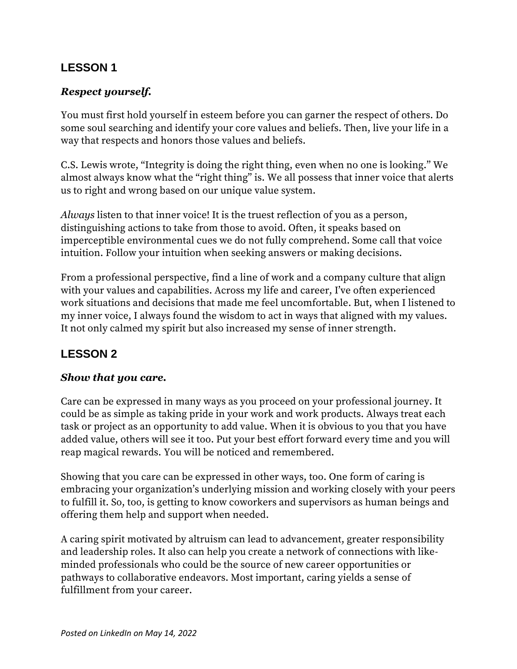## **LESSON 1**

#### *Respect yourself.*

You must first hold yourself in esteem before you can garner the respect of others. Do some soul searching and identify your core values and beliefs. Then, live your life in a way that respects and honors those values and beliefs.

C.S. Lewis wrote, "Integrity is doing the right thing, even when no one is looking." We almost always know what the "right thing" is. We all possess that inner voice that alerts us to right and wrong based on our unique value system.

*Always* listen to that inner voice! It is the truest reflection of you as a person, distinguishing actions to take from those to avoid. Often, it speaks based on imperceptible environmental cues we do not fully comprehend. Some call that voice intuition. Follow your intuition when seeking answers or making decisions.

From a professional perspective, find a line of work and a company culture that align with your values and capabilities. Across my life and career, I've often experienced work situations and decisions that made me feel uncomfortable. But, when I listened to my inner voice, I always found the wisdom to act in ways that aligned with my values. It not only calmed my spirit but also increased my sense of inner strength.

## **LESSON 2**

#### *Show that you care.*

Care can be expressed in many ways as you proceed on your professional journey. It could be as simple as taking pride in your work and work products. Always treat each task or project as an opportunity to add value. When it is obvious to you that you have added value, others will see it too. Put your best effort forward every time and you will reap magical rewards. You will be noticed and remembered.

Showing that you care can be expressed in other ways, too. One form of caring is embracing your organization's underlying mission and working closely with your peers to fulfill it. So, too, is getting to know coworkers and supervisors as human beings and offering them help and support when needed.

A caring spirit motivated by altruism can lead to advancement, greater responsibility and leadership roles. It also can help you create a network of connections with likeminded professionals who could be the source of new career opportunities or pathways to collaborative endeavors. Most important, caring yields a sense of fulfillment from your career.